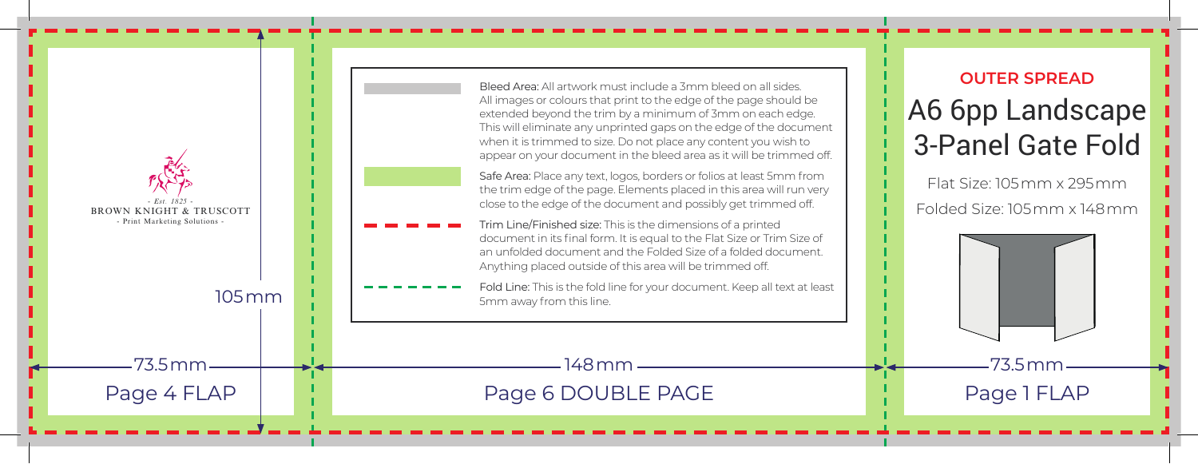